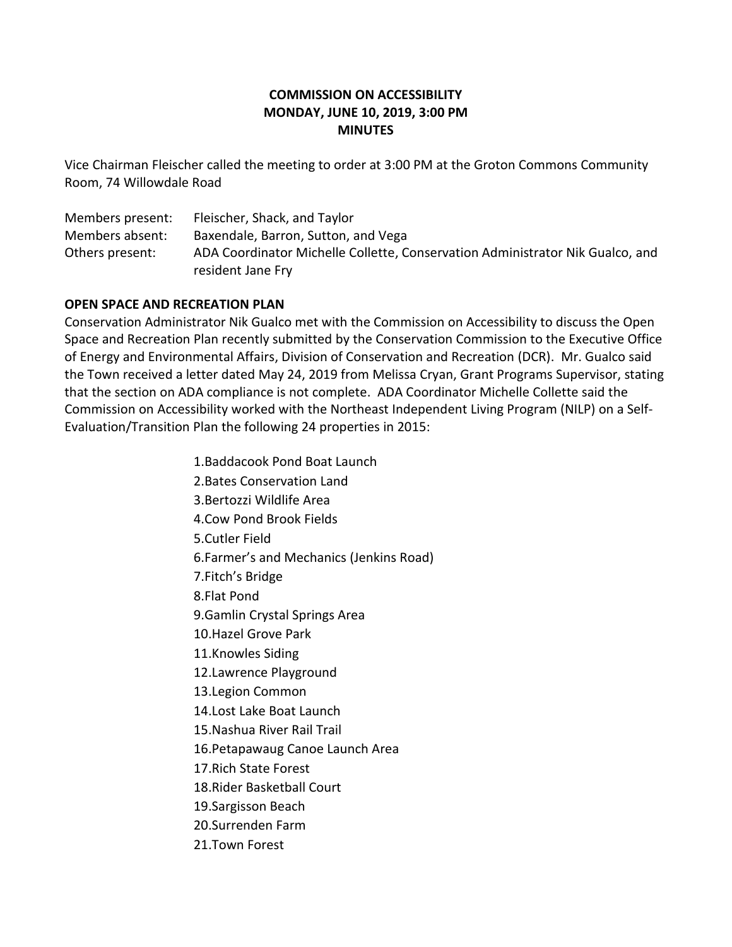# **COMMISSION ON ACCESSIBILITY MONDAY, JUNE 10, 2019, 3:00 PM MINUTES**

Vice Chairman Fleischer called the meeting to order at 3:00 PM at the Groton Commons Community Room, 74 Willowdale Road

Members present: Fleischer, Shack, and Taylor Members absent: Baxendale, Barron, Sutton, and Vega Others present: ADA Coordinator Michelle Collette, Conservation Administrator Nik Gualco, and resident Jane Fry

### **OPEN SPACE AND RECREATION PLAN**

Conservation Administrator Nik Gualco met with the Commission on Accessibility to discuss the Open Space and Recreation Plan recently submitted by the Conservation Commission to the Executive Office of Energy and Environmental Affairs, Division of Conservation and Recreation (DCR). Mr. Gualco said the Town received a letter dated May 24, 2019 from Melissa Cryan, Grant Programs Supervisor, stating that the section on ADA compliance is not complete. ADA Coordinator Michelle Collette said the Commission on Accessibility worked with the Northeast Independent Living Program (NILP) on a Self-Evaluation/Transition Plan the following 24 properties in 2015:

> 1.Baddacook Pond Boat Launch 2.Bates Conservation Land 3.Bertozzi Wildlife Area 4.Cow Pond Brook Fields 5.Cutler Field 6.Farmer's and Mechanics (Jenkins Road) 7.Fitch's Bridge 8.Flat Pond 9.Gamlin Crystal Springs Area 10.Hazel Grove Park 11.Knowles Siding 12.Lawrence Playground 13.Legion Common 14.Lost Lake Boat Launch 15.Nashua River Rail Trail 16.Petapawaug Canoe Launch Area 17.Rich State Forest 18.Rider Basketball Court 19.Sargisson Beach 20.Surrenden Farm 21.Town Forest